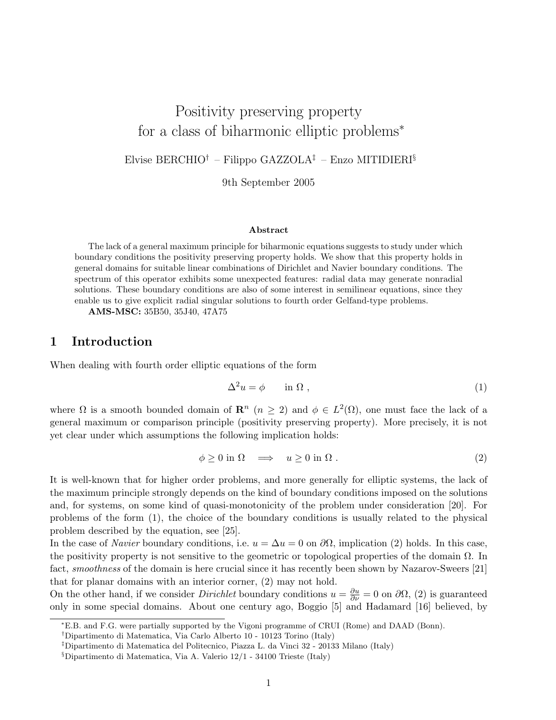# Positivity preserving property for a class of biharmonic elliptic problems<sup>∗</sup>

Elvise BERCHIO<sup>†</sup> – Filippo GAZZOLA<sup>‡</sup> – Enzo MITIDIERI<sup>§</sup>

9th September 2005

#### Abstract

The lack of a general maximum principle for biharmonic equations suggests to study under which boundary conditions the positivity preserving property holds. We show that this property holds in general domains for suitable linear combinations of Dirichlet and Navier boundary conditions. The spectrum of this operator exhibits some unexpected features: radial data may generate nonradial solutions. These boundary conditions are also of some interest in semilinear equations, since they enable us to give explicit radial singular solutions to fourth order Gelfand-type problems.

AMS-MSC: 35B50, 35J40, 47A75

### 1 Introduction

When dealing with fourth order elliptic equations of the form

$$
\Delta^2 u = \phi \qquad \text{in } \Omega \;, \tag{1}
$$

where  $\Omega$  is a smooth bounded domain of  $\mathbb{R}^n$   $(n \geq 2)$  and  $\phi \in L^2(\Omega)$ , one must face the lack of a general maximum or comparison principle (positivity preserving property). More precisely, it is not yet clear under which assumptions the following implication holds:

$$
\phi \ge 0 \text{ in } \Omega \quad \Longrightarrow \quad u \ge 0 \text{ in } \Omega \tag{2}
$$

It is well-known that for higher order problems, and more generally for elliptic systems, the lack of the maximum principle strongly depends on the kind of boundary conditions imposed on the solutions and, for systems, on some kind of quasi-monotonicity of the problem under consideration [20]. For problems of the form (1), the choice of the boundary conditions is usually related to the physical problem described by the equation, see [25].

In the case of *Navier* boundary conditions, i.e.  $u = \Delta u = 0$  on  $\partial\Omega$ , implication (2) holds. In this case, the positivity property is not sensitive to the geometric or topological properties of the domain  $\Omega$ . In fact, *smoothness* of the domain is here crucial since it has recently been shown by Nazarov-Sweers [21] that for planar domains with an interior corner, (2) may not hold.

On the other hand, if we consider *Dirichlet* boundary conditions  $u = \frac{\partial u}{\partial \nu} = 0$  on  $\partial \Omega$ , (2) is guaranteed only in some special domains. About one century ago, Boggio [5] and Hadamard [16] believed, by

<sup>∗</sup>E.B. and F.G. were partially supported by the Vigoni programme of CRUI (Rome) and DAAD (Bonn).

<sup>†</sup>Dipartimento di Matematica, Via Carlo Alberto 10 - 10123 Torino (Italy)

<sup>‡</sup>Dipartimento di Matematica del Politecnico, Piazza L. da Vinci 32 - 20133 Milano (Italy)

<sup>§</sup>Dipartimento di Matematica, Via A. Valerio 12/1 - 34100 Trieste (Italy)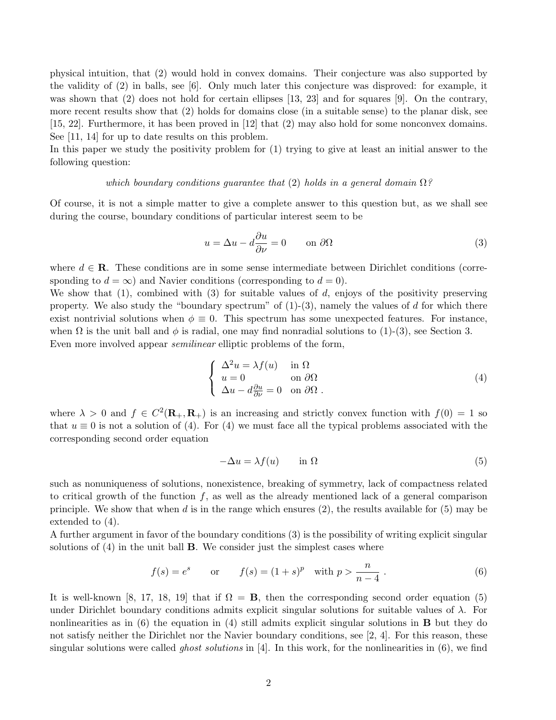physical intuition, that (2) would hold in convex domains. Their conjecture was also supported by the validity of (2) in balls, see [6]. Only much later this conjecture was disproved: for example, it was shown that (2) does not hold for certain ellipses [13, 23] and for squares [9]. On the contrary, more recent results show that (2) holds for domains close (in a suitable sense) to the planar disk, see [15, 22]. Furthermore, it has been proved in [12] that (2) may also hold for some nonconvex domains. See [11, 14] for up to date results on this problem.

In this paper we study the positivity problem for (1) trying to give at least an initial answer to the following question:

#### which boundary conditions guarantee that (2) holds in a general domain  $\Omega$ ?

Of course, it is not a simple matter to give a complete answer to this question but, as we shall see during the course, boundary conditions of particular interest seem to be

$$
u = \Delta u - d\frac{\partial u}{\partial \nu} = 0 \qquad \text{on } \partial \Omega \tag{3}
$$

where  $d \in \mathbf{R}$ . These conditions are in some sense intermediate between Dirichlet conditions (corresponding to  $d = \infty$ ) and Navier conditions (corresponding to  $d = 0$ ).

We show that  $(1)$ , combined with  $(3)$  for suitable values of d, enjoys of the positivity preserving property. We also study the "boundary spectrum" of  $(1)-(3)$ , namely the values of d for which there exist nontrivial solutions when  $\phi \equiv 0$ . This spectrum has some unexpected features. For instance, when  $\Omega$  is the unit ball and  $\phi$  is radial, one may find nonradial solutions to (1)-(3), see Section 3. Even more involved appear semilinear elliptic problems of the form,

$$
\begin{cases}\n\Delta^2 u = \lambda f(u) & \text{in } \Omega \\
u = 0 & \text{on } \partial\Omega \\
\Delta u - d\frac{\partial u}{\partial \nu} = 0 & \text{on } \partial\Omega\n\end{cases}
$$
\n(4)

where  $\lambda > 0$  and  $f \in C^2(\mathbf{R}_+, \mathbf{R}_+)$  is an increasing and strictly convex function with  $f(0) = 1$  so that  $u \equiv 0$  is not a solution of (4). For (4) we must face all the typical problems associated with the corresponding second order equation

$$
-\Delta u = \lambda f(u) \qquad \text{in } \Omega \tag{5}
$$

such as nonuniqueness of solutions, nonexistence, breaking of symmetry, lack of compactness related to critical growth of the function  $f$ , as well as the already mentioned lack of a general comparison principle. We show that when d is in the range which ensures  $(2)$ , the results available for  $(5)$  may be extended to (4).

A further argument in favor of the boundary conditions (3) is the possibility of writing explicit singular solutions of  $(4)$  in the unit ball **B**. We consider just the simplest cases where

$$
f(s) = e^s
$$
 or  $f(s) = (1 + s)^p$  with  $p > \frac{n}{n-4}$ . (6)

It is well-known [8, 17, 18, 19] that if  $\Omega = \mathbf{B}$ , then the corresponding second order equation (5) under Dirichlet boundary conditions admits explicit singular solutions for suitable values of  $\lambda$ . For nonlinearities as in  $(6)$  the equation in  $(4)$  still admits explicit singular solutions in **B** but they do not satisfy neither the Dirichlet nor the Navier boundary conditions, see [2, 4]. For this reason, these singular solutions were called *ghost solutions* in [4]. In this work, for the nonlinearities in  $(6)$ , we find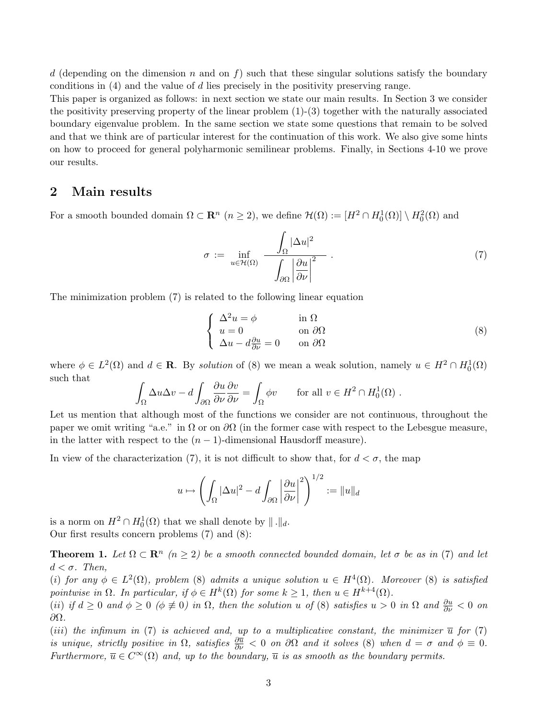d (depending on the dimension n and on f) such that these singular solutions satisfy the boundary conditions in (4) and the value of d lies precisely in the positivity preserving range.

This paper is organized as follows: in next section we state our main results. In Section 3 we consider the positivity preserving property of the linear problem  $(1)-(3)$  together with the naturally associated boundary eigenvalue problem. In the same section we state some questions that remain to be solved and that we think are of particular interest for the continuation of this work. We also give some hints on how to proceed for general polyharmonic semilinear problems. Finally, in Sections 4-10 we prove our results.

### 2 Main results

For a smooth bounded domain  $\Omega \subset \mathbb{R}^n$   $(n \geq 2)$ , we define  $\mathcal{H}(\Omega) := [H^2 \cap H_0^1(\Omega)] \setminus H_0^2(\Omega)$  and

$$
\sigma := \inf_{u \in \mathcal{H}(\Omega)} \frac{\int_{\Omega} |\Delta u|^2}{\int_{\partial \Omega} \left| \frac{\partial u}{\partial \nu} \right|^2} \,. \tag{7}
$$

The minimization problem (7) is related to the following linear equation

$$
\begin{cases}\n\Delta^2 u = \phi & \text{in } \Omega \\
u = 0 & \text{on } \partial\Omega \\
\Delta u - d\frac{\partial u}{\partial \nu} = 0 & \text{on } \partial\Omega\n\end{cases}
$$
\n(8)

where  $\phi \in L^2(\Omega)$  and  $d \in \mathbf{R}$ . By solution of (8) we mean a weak solution, namely  $u \in H^2 \cap H_0^1(\Omega)$ such that

$$
\int_{\Omega} \Delta u \Delta v - d \int_{\partial \Omega} \frac{\partial u}{\partial \nu} \frac{\partial v}{\partial \nu} = \int_{\Omega} \phi v \quad \text{for all } v \in H^2 \cap H_0^1(\Omega) .
$$

Let us mention that although most of the functions we consider are not continuous, throughout the paper we omit writing "a.e." in  $\Omega$  or on  $\partial\Omega$  (in the former case with respect to the Lebesgue measure, in the latter with respect to the  $(n - 1)$ -dimensional Hausdorff measure).

In view of the characterization (7), it is not difficult to show that, for  $d < \sigma$ , the map

$$
u \mapsto \left(\int_{\Omega} |\Delta u|^2 - d \int_{\partial \Omega} \left|\frac{\partial u}{\partial \nu}\right|^2\right)^{1/2} := \|u\|_d
$$

is a norm on  $H^2 \cap H_0^1(\Omega)$  that we shall denote by  $\|\cdot\|_d$ . Our first results concern problems (7) and (8):

**Theorem 1.** Let  $\Omega \subset \mathbb{R}^n$   $(n \geq 2)$  be a smooth connected bounded domain, let  $\sigma$  be as in (7) and let  $d < \sigma$ . Then,

(i) for any  $\phi \in L^2(\Omega)$ , problem (8) admits a unique solution  $u \in H^4(\Omega)$ . Moreover (8) is satisfied pointwise in  $\Omega$ . In particular, if  $\phi \in H^k(\Omega)$  for some  $k \geq 1$ , then  $u \in H^{k+4}(\Omega)$ .

(ii) if  $d \geq 0$  and  $\phi \geq 0$  ( $\phi \not\equiv 0$ ) in  $\Omega$ , then the solution u of (8) satisfies  $u > 0$  in  $\Omega$  and  $\frac{\partial u}{\partial \nu} < 0$  on ∂Ω.

(iii) the infimum in (7) is achieved and, up to a multiplicative constant, the minimizer  $\bar{u}$  for (7) is unique, strictly positive in  $\Omega$ , satisfies  $\frac{\partial \overline{u}}{\partial \nu} < 0$  on  $\partial \Omega$  and it solves (8) when  $d = \sigma$  and  $\phi \equiv 0$ . Furthermore,  $\overline{u} \in C^{\infty}(\Omega)$  and, up to the boundary,  $\overline{u}$  is as smooth as the boundary permits.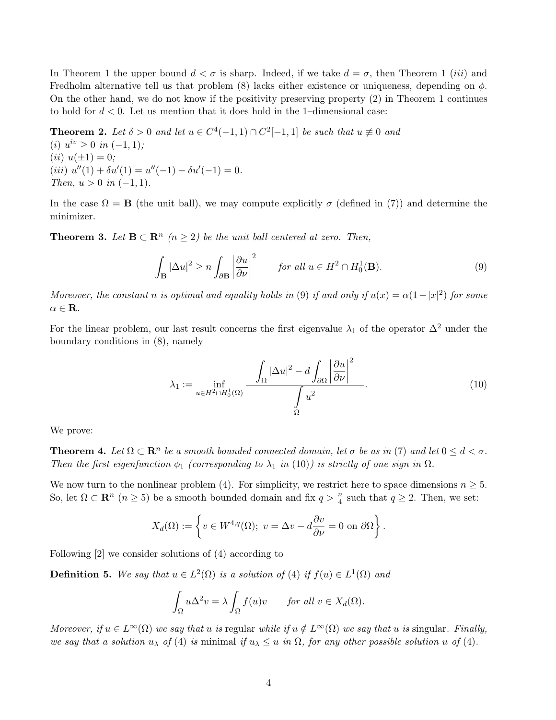In Theorem 1 the upper bound  $d < \sigma$  is sharp. Indeed, if we take  $d = \sigma$ , then Theorem 1 *(iii)* and Fredholm alternative tell us that problem (8) lacks either existence or uniqueness, depending on  $\phi$ . On the other hand, we do not know if the positivity preserving property (2) in Theorem 1 continues to hold for  $d < 0$ . Let us mention that it does hold in the 1-dimensional case:

**Theorem 2.** Let  $\delta > 0$  and let  $u \in C^4(-1,1) \cap C^2[-1,1]$  be such that  $u \neq 0$  and (*i*)  $u^{iv} \geq 0$  *in*  $(-1, 1)$ ; (*ii*)  $u(\pm 1) = 0$ ; (iii)  $u''(1) + \delta u'(1) = u''(-1) - \delta u'(-1) = 0.$ Then,  $u > 0$  in  $(-1, 1)$ .

In the case  $\Omega = \mathbf{B}$  (the unit ball), we may compute explicitly  $\sigma$  (defined in (7)) and determine the minimizer.

**Theorem 3.** Let  $\mathbf{B} \subset \mathbf{R}^n$  ( $n \geq 2$ ) be the unit ball centered at zero. Then,

$$
\int_{\mathbf{B}} |\Delta u|^2 \ge n \int_{\partial \mathbf{B}} \left| \frac{\partial u}{\partial \nu} \right|^2 \qquad \text{for all } u \in H^2 \cap H_0^1(\mathbf{B}). \tag{9}
$$

Moreover, the constant n is optimal and equality holds in (9) if and only if  $u(x) = \alpha(1-|x|^2)$  for some  $\alpha \in \mathbf{R}$ .

For the linear problem, our last result concerns the first eigenvalue  $\lambda_1$  of the operator  $\Delta^2$  under the boundary conditions in (8), namely

$$
\lambda_1 := \inf_{u \in H^2 \cap H_0^1(\Omega)} \frac{\int_{\Omega} |\Delta u|^2 - d \int_{\partial \Omega} \left| \frac{\partial u}{\partial \nu} \right|^2}{\int_{\Omega} u^2}.
$$
\n(10)

We prove:

**Theorem 4.** Let  $\Omega \subset \mathbb{R}^n$  be a smooth bounded connected domain, let  $\sigma$  be as in (7) and let  $0 \leq d < \sigma$ . Then the first eigenfunction  $\phi_1$  (corresponding to  $\lambda_1$  in (10)) is strictly of one sign in  $\Omega$ .

We now turn to the nonlinear problem (4). For simplicity, we restrict here to space dimensions  $n \geq 5$ . So, let  $\Omega \subset \mathbb{R}^n$   $(n \geq 5)$  be a smooth bounded domain and fix  $q > \frac{n}{4}$  such that  $q \geq 2$ . Then, we set:

$$
X_d(\Omega) := \left\{ v \in W^{4,q}(\Omega); \ v = \Delta v - d \frac{\partial v}{\partial \nu} = 0 \text{ on } \partial \Omega \right\}.
$$

Following [2] we consider solutions of (4) according to

**Definition 5.** We say that  $u \in L^2(\Omega)$  is a solution of (4) if  $f(u) \in L^1(\Omega)$  and

$$
\int_{\Omega} u \Delta^2 v = \lambda \int_{\Omega} f(u)v \quad \text{for all } v \in X_d(\Omega).
$$

Moreover, if  $u \in L^{\infty}(\Omega)$  we say that u is regular while if  $u \notin L^{\infty}(\Omega)$  we say that u is singular. Finally, we say that a solution  $u_{\lambda}$  of (4) is minimal if  $u_{\lambda} \leq u$  in  $\Omega$ , for any other possible solution u of (4).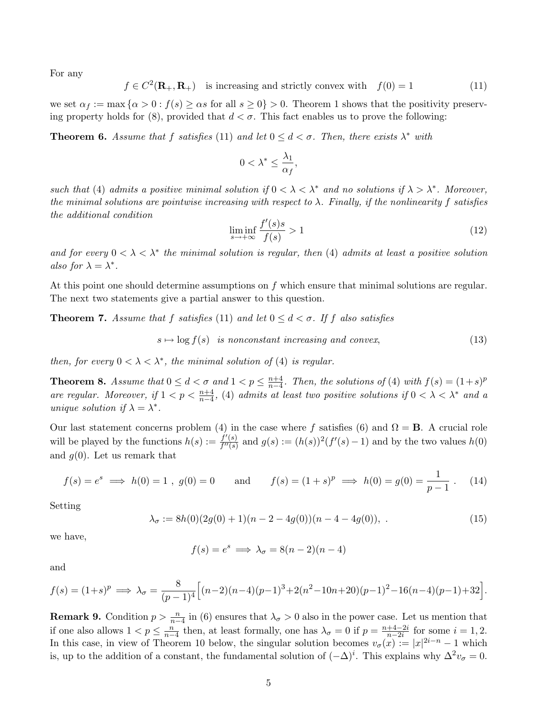For any

$$
f \in C^2(\mathbf{R}_+,\mathbf{R}_+)
$$
 is increasing and strictly convex with  $f(0) = 1$  (11)

we set  $\alpha_f := \max \{ \alpha > 0 : f(s) \ge \alpha s \text{ for all } s \ge 0 \} > 0$ . Theorem 1 shows that the positivity preserving property holds for  $(8)$ , provided that  $d < \sigma$ . This fact enables us to prove the following:

**Theorem 6.** Assume that f satisfies (11) and let  $0 \leq d < \sigma$ . Then, there exists  $\lambda^*$  with

$$
0<\lambda^*\leq \frac{\lambda_1}{\alpha_f},
$$

such that (4) admits a positive minimal solution if  $0 < \lambda < \lambda^*$  and no solutions if  $\lambda > \lambda^*$ . Moreover, the minimal solutions are pointwise increasing with respect to  $\lambda$ . Finally, if the nonlinearity f satisfies the additional condition

$$
\liminf_{s \to +\infty} \frac{f'(s)s}{f(s)} > 1 \tag{12}
$$

and for every  $0 < \lambda < \lambda^*$  the minimal solution is regular, then (4) admits at least a positive solution also for  $\lambda = \lambda^*$ .

At this point one should determine assumptions on f which ensure that minimal solutions are regular. The next two statements give a partial answer to this question.

**Theorem 7.** Assume that f satisfies (11) and let  $0 \leq d < \sigma$ . If f also satisfies

$$
s \mapsto \log f(s) \quad is \quad nonconstant \quad increasing \quad and \quad convex,
$$
\n(13)

then, for every  $0 < \lambda < \lambda^*$ , the minimal solution of (4) is regular.

**Theorem 8.** Assume that  $0 \leq d < \sigma$  and  $1 < p \leq \frac{n+4}{n-4}$  $\frac{n+4}{n-4}$ . Then, the solutions of (4) with  $f(s) = (1+s)^p$ are regular. Moreover, if  $1 < p < \frac{n+4}{n-4}$ , (4) admits at least two positive solutions if  $0 < \lambda < \lambda^*$  and a unique solution if  $\lambda = \lambda^*$ .

Our last statement concerns problem (4) in the case where f satisfies (6) and  $\Omega = \mathbf{B}$ . A crucial role will be played by the functions  $h(s) := \frac{f'(s)}{f''(s)}$  $f''(s)$  and  $g(s) := (h(s))^2(f'(s) - 1)$  and by the two values  $h(0)$ and  $q(0)$ . Let us remark that

$$
f(s) = e^s \implies h(0) = 1
$$
,  $g(0) = 0$  and  $f(s) = (1 + s)^p \implies h(0) = g(0) = \frac{1}{p-1}$ . (14)

Setting

$$
\lambda_{\sigma} := 8h(0)(2g(0) + 1)(n - 2 - 4g(0))(n - 4 - 4g(0)), \tag{15}
$$

we have,

$$
f(s) = e^s \implies \lambda_\sigma = 8(n-2)(n-4)
$$

and

$$
f(s) = (1+s)^p \implies \lambda_{\sigma} = \frac{8}{(p-1)^4} \Big[ (n-2)(n-4)(p-1)^3 + 2(n^2 - 10n + 20)(p-1)^2 - 16(n-4)(p-1) + 32 \Big].
$$

**Remark 9.** Condition  $p > \frac{n}{n-4}$  in (6) ensures that  $\lambda_{\sigma} > 0$  also in the power case. Let us mention that if one also allows  $1 < p \leq \frac{n}{n}$  $\frac{n}{n-4}$  then, at least formally, one has  $\lambda_{\sigma} = 0$  if  $p = \frac{n+4-2i}{n-2i}$  $\frac{+4-2i}{n-2i}$  for some  $i = 1, 2$ . In this case, in view of Theorem 10 below, the singular solution becomes  $v_{\sigma}(x) := |x|^{2i-n} - 1$  which is, up to the addition of a constant, the fundamental solution of  $(-\Delta)^i$ . This explains why  $\Delta^2 v_{\sigma} = 0$ .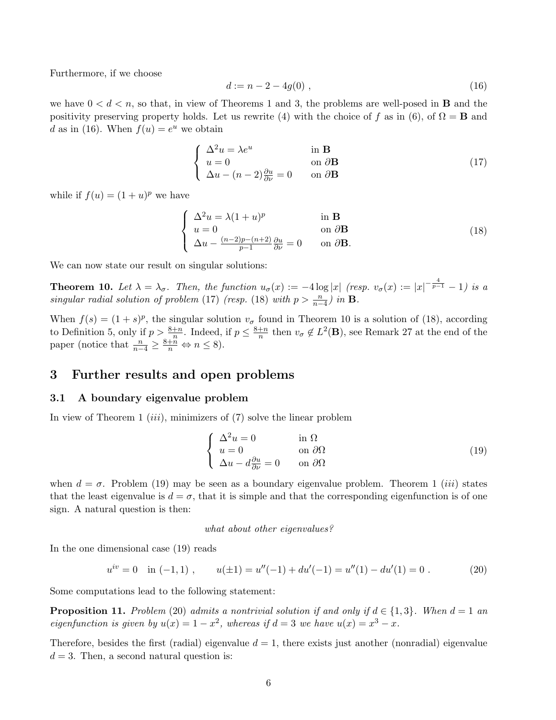Furthermore, if we choose

$$
d := n - 2 - 4g(0) \tag{16}
$$

we have  $0 < d < n$ , so that, in view of Theorems 1 and 3, the problems are well-posed in **B** and the positivity preserving property holds. Let us rewrite (4) with the choice of f as in (6), of  $\Omega = \mathbf{B}$  and d as in (16). When  $f(u) = e^u$  we obtain

$$
\begin{cases}\n\Delta^2 u = \lambda e^u & \text{in } \mathbf{B} \\
u = 0 & \text{on } \partial \mathbf{B} \\
\Delta u - (n-2)\frac{\partial u}{\partial \nu} = 0 & \text{on } \partial \mathbf{B}\n\end{cases}
$$
\n(17)

while if  $f(u) = (1 + u)^p$  we have

$$
\begin{cases}\n\Delta^2 u = \lambda (1+u)^p & \text{in } \mathbf{B} \\
u = 0 & \text{on } \partial \mathbf{B} \\
\Delta u - \frac{(n-2)p - (n+2)}{p-1} \frac{\partial u}{\partial \nu} = 0 & \text{on } \partial \mathbf{B}.\n\end{cases}
$$
\n(18)

We can now state our result on singular solutions:

**Theorem 10.** Let  $\lambda = \lambda_{\sigma}$ . Then, the function  $u_{\sigma}(x) := -4 \log |x|$  (resp.  $v_{\sigma}(x) := |x|^{-\frac{4}{p-1}} - 1$ ) is a singular radial solution of problem (17) (resp. (18) with  $p > \frac{n}{n-4}$ ) in **B**.

When  $f(s) = (1 + s)^p$ , the singular solution  $v_{\sigma}$  found in Theorem 10 is a solution of (18), according to Definition 5, only if  $p > \frac{8+n}{n}$ . Indeed, if  $p \leq \frac{8+n}{n}$  $\frac{+n}{n}$  then  $v_{\sigma} \notin L^2(\mathbf{B})$ , see Remark 27 at the end of the paper (notice that  $\frac{n}{n-4} \geq \frac{8+n}{n} \Leftrightarrow n \leq 8$ ).

### 3 Further results and open problems

#### 3.1 A boundary eigenvalue problem

In view of Theorem 1  $(iii)$ , minimizers of  $(7)$  solve the linear problem

$$
\begin{cases}\n\Delta^2 u = 0 & \text{in } \Omega \\
u = 0 & \text{on } \partial\Omega \\
\Delta u - d\frac{\partial u}{\partial \nu} = 0 & \text{on } \partial\Omega\n\end{cases}
$$
\n(19)

when  $d = \sigma$ . Problem (19) may be seen as a boundary eigenvalue problem. Theorem 1 *(iii)* states that the least eigenvalue is  $d = \sigma$ , that it is simple and that the corresponding eigenfunction is of one sign. A natural question is then:

#### what about other eigenvalues?

In the one dimensional case (19) reads

$$
u^{iv} = 0 \quad \text{in } (-1, 1) \;, \qquad u(\pm 1) = u''(-1) + du'(-1) = u''(1) - du'(1) = 0 \; . \tag{20}
$$

Some computations lead to the following statement:

**Proposition 11.** Problem (20) admits a nontrivial solution if and only if  $d \in \{1,3\}$ . When  $d = 1$  and eigenfunction is given by  $u(x) = 1 - x^2$ , whereas if  $d = 3$  we have  $u(x) = x^3 - x$ .

Therefore, besides the first (radial) eigenvalue  $d = 1$ , there exists just another (nonradial) eigenvalue  $d = 3$ . Then, a second natural question is: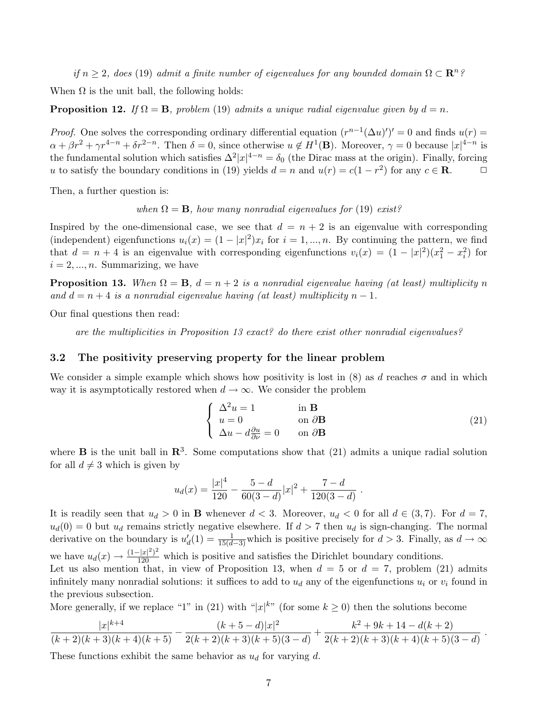if  $n \geq 2$ , does (19) admit a finite number of eigenvalues for any bounded domain  $\Omega \subset \mathbb{R}^n$ ?

When  $\Omega$  is the unit ball, the following holds:

**Proposition 12.** If  $\Omega = \mathbf{B}$ , problem (19) admits a unique radial eigenvalue given by  $d = n$ .

*Proof.* One solves the corresponding ordinary differential equation  $(r^{n-1}(\Delta u)')' = 0$  and finds  $u(r) =$  $\alpha + \beta r^2 + \gamma r^{4-n} + \delta r^{2-n}$ . Then  $\delta = 0$ , since otherwise  $u \notin H^1(\mathbf{B})$ . Moreover,  $\gamma = 0$  because  $|x|^{4-n}$  is the fundamental solution which satisfies  $\Delta^2 |x|^{4-n} = \delta_0$  (the Dirac mass at the origin). Finally, forcing u to satisfy the boundary conditions in (19) yields  $d = n$  and  $u(r) = c(1 - r^2)$  for any  $c \in \mathbb{R}$ .

Then, a further question is:

when  $\Omega = \mathbf{B}$ , how many nonradial eigenvalues for (19) exist?

Inspired by the one-dimensional case, we see that  $d = n + 2$  is an eigenvalue with corresponding (independent) eigenfunctions  $u_i(x) = (1 - |x|^2)x_i$  for  $i = 1, ..., n$ . By continuing the pattern, we find that  $d = n + 4$  is an eigenvalue with corresponding eigenfunctions  $v_i(x) = (1 - |x|^2)(x_1^2 - x_i^2)$  for  $i = 2, ..., n$ . Summarizing, we have

**Proposition 13.** When  $\Omega = \mathbf{B}$ ,  $d = n + 2$  is a nonradial eigenvalue having (at least) multiplicity n and  $d = n + 4$  is a nonradial eigenvalue having (at least) multiplicity  $n - 1$ .

Our final questions then read:

are the multiplicities in Proposition 13 exact? do there exist other nonradial eigenvalues?

#### 3.2 The positivity preserving property for the linear problem

We consider a simple example which shows how positivity is lost in (8) as d reaches  $\sigma$  and in which way it is asymptotically restored when  $d \to \infty$ . We consider the problem

$$
\begin{cases}\n\Delta^2 u = 1 & \text{in } \mathbf{B} \\
u = 0 & \text{on } \partial \mathbf{B} \\
\Delta u - d \frac{\partial u}{\partial \nu} = 0 & \text{on } \partial \mathbf{B}\n\end{cases}
$$
\n(21)

where **B** is the unit ball in  $\mathbb{R}^3$ . Some computations show that (21) admits a unique radial solution for all  $d \neq 3$  which is given by

$$
u_d(x) = \frac{|x|^4}{120} - \frac{5-d}{60(3-d)}|x|^2 + \frac{7-d}{120(3-d)}.
$$

It is readily seen that  $u_d > 0$  in **B** whenever  $d < 3$ . Moreover,  $u_d < 0$  for all  $d \in (3,7)$ . For  $d = 7$ ,  $u_d(0) = 0$  but  $u_d$  remains strictly negative elsewhere. If  $d > 7$  then  $u_d$  is sign-changing. The normal derivative on the boundary is  $u'_d(1) = \frac{1}{15(d-3)}$  which is positive precisely for  $d > 3$ . Finally, as  $d \to \infty$ we have  $u_d(x) \to \frac{(1-|x|^2)^2}{120}$  which is positive and satisfies the Dirichlet boundary conditions. Let us also mention that, in view of Proposition 13, when  $d = 5$  or  $d = 7$ , problem (21) admits infinitely many nonradial solutions: it suffices to add to  $u_d$  any of the eigenfunctions  $u_i$  or  $v_i$  found in the previous subsection.

More generally, if we replace "1" in (21) with " $|x|^{k}$ " (for some  $k \ge 0$ ) then the solutions become

$$
\frac{|x|^{k+4}}{(k+2)(k+3)(k+4)(k+5)} - \frac{(k+5-d)|x|^2}{2(k+2)(k+3)(k+5)(3-d)} + \frac{k^2+9k+14-d(k+2)}{2(k+2)(k+3)(k+4)(k+5)(3-d)}.
$$

These functions exhibit the same behavior as  $u_d$  for varying d.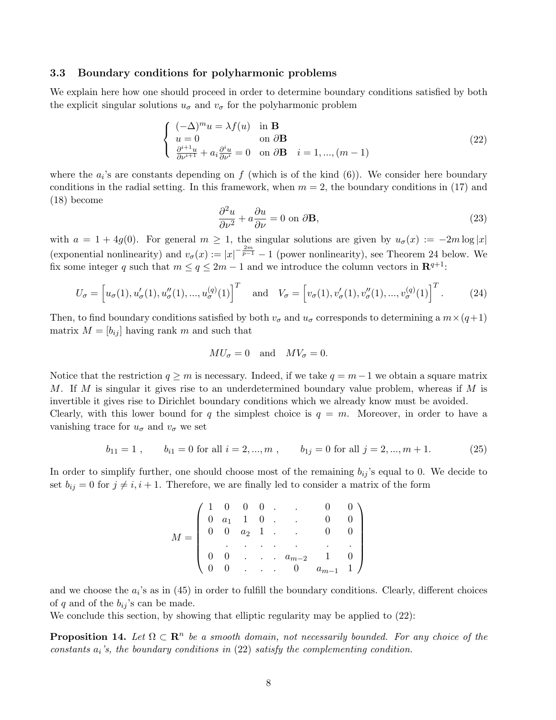#### 3.3 Boundary conditions for polyharmonic problems

We explain here how one should proceed in order to determine boundary conditions satisfied by both the explicit singular solutions  $u_{\sigma}$  and  $v_{\sigma}$  for the polyharmonic problem

$$
\begin{cases}\n(-\Delta)^m u = \lambda f(u) & \text{in } \mathbf{B} \\
u = 0 & \text{on } \partial \mathbf{B} \\
\frac{\partial^{i+1} u}{\partial \nu^{i+1}} + a_i \frac{\partial^i u}{\partial \nu^i} = 0 & \text{on } \partial \mathbf{B} \quad i = 1, ..., (m-1)\n\end{cases}
$$
\n(22)

where the  $a_i$ 's are constants depending on f (which is of the kind  $(6)$ ). We consider here boundary conditions in the radial setting. In this framework, when  $m = 2$ , the boundary conditions in (17) and (18) become

$$
\frac{\partial^2 u}{\partial \nu^2} + a \frac{\partial u}{\partial \nu} = 0 \text{ on } \partial \mathbf{B},\tag{23}
$$

with  $a = 1 + 4g(0)$ . For general  $m \ge 1$ , the singular solutions are given by  $u_{\sigma}(x) := -2m \log |x|$ (exponential nonlinearity) and  $v_{\sigma}(x) := |x|^{-\frac{2m}{p-1}} - 1$  (power nonlinearity), see Theorem 24 below. We fix some integer q such that  $m \le q \le 2m - 1$  and we introduce the column vectors in  $\mathbb{R}^{q+1}$ :

$$
U_{\sigma} = \left[ u_{\sigma}(1), u_{\sigma}'(1), u_{\sigma}''(1), ..., u_{\sigma}^{(q)}(1) \right]^T \quad \text{and} \quad V_{\sigma} = \left[ v_{\sigma}(1), v_{\sigma}'(1), v_{\sigma}''(1), ..., v_{\sigma}^{(q)}(1) \right]^T.
$$
 (24)

Then, to find boundary conditions satisfied by both  $v_{\sigma}$  and  $u_{\sigma}$  corresponds to determining a  $m \times (q+1)$ matrix  $M = [b_{ij}]$  having rank m and such that

$$
MU_{\sigma} = 0 \quad \text{and} \quad MV_{\sigma} = 0.
$$

Notice that the restriction  $q \geq m$  is necessary. Indeed, if we take  $q = m-1$  we obtain a square matrix M. If M is singular it gives rise to an underdetermined boundary value problem, whereas if M is invertible it gives rise to Dirichlet boundary conditions which we already know must be avoided.

Clearly, with this lower bound for q the simplest choice is  $q = m$ . Moreover, in order to have a vanishing trace for  $u_{\sigma}$  and  $v_{\sigma}$  we set

$$
b_{11} = 1
$$
,  $b_{i1} = 0$  for all  $i = 2, ..., m$ ,  $b_{1j} = 0$  for all  $j = 2, ..., m + 1$ . (25)

In order to simplify further, one should choose most of the remaining  $b_{ij}$ 's equal to 0. We decide to set  $b_{ij} = 0$  for  $j \neq i, i + 1$ . Therefore, we are finally led to consider a matrix of the form

|       |  |  | $\left( \begin{array}{cccccc} 1 & 0 & 0 & 0 & . & . & 0 & 0 \\ 0 & a_1 & 1 & 0 & . & . & 0 & 0 \\ 0 & 0 & a_2 & 1 & . & . & 0 & 0 \\ . & . & . & . & . & . & . & . \\ 0 & 0 & . & . & a_{m-2} & 1 & 0 \\ 0 & 0 & . & . & 0 & a_{m-1} & 1 \end{array} \right)$ |  |
|-------|--|--|---------------------------------------------------------------------------------------------------------------------------------------------------------------------------------------------------------------------------------------------------------------|--|
| $V =$ |  |  |                                                                                                                                                                                                                                                               |  |
|       |  |  |                                                                                                                                                                                                                                                               |  |
|       |  |  |                                                                                                                                                                                                                                                               |  |
|       |  |  |                                                                                                                                                                                                                                                               |  |

and we choose the  $a_i$ 's as in (45) in order to fulfill the boundary conditions. Clearly, different choices of q and of the  $b_{ij}$ 's can be made.

We conclude this section, by showing that elliptic regularity may be applied to (22):

**Proposition 14.** Let  $\Omega \subset \mathbb{R}^n$  be a smooth domain, not necessarily bounded. For any choice of the constants  $a_i$ 's, the boundary conditions in  $(22)$  satisfy the complementing condition.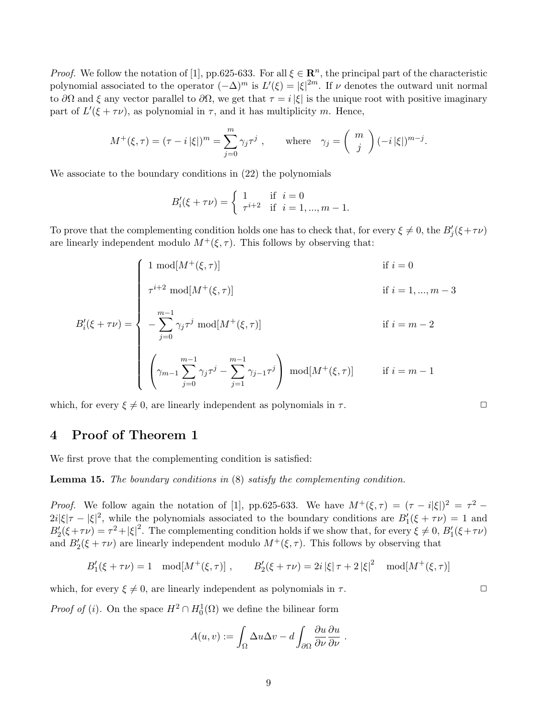*Proof.* We follow the notation of [1], pp.625-633. For all  $\xi \in \mathbb{R}^n$ , the principal part of the characteristic polynomial associated to the operator  $(-\Delta)^m$  is  $L'(\xi) = |\xi|^{2m}$ . If  $\nu$  denotes the outward unit normal to  $\partial\Omega$  and  $\xi$  any vector parallel to  $\partial\Omega$ , we get that  $\tau = i|\xi|$  is the unique root with positive imaginary part of  $L'(\xi + \tau \nu)$ , as polynomial in  $\tau$ , and it has multiplicity m. Hence,

$$
M^+(\xi, \tau) = (\tau - i|\xi|)^m = \sum_{j=0}^m \gamma_j \tau^j , \quad \text{where} \quad \gamma_j = \begin{pmatrix} m \\ j \end{pmatrix} (-i|\xi|)^{m-j}.
$$

We associate to the boundary conditions in (22) the polynomials

$$
B'_{i}(\xi + \tau \nu) = \begin{cases} 1 & \text{if } i = 0 \\ \tau^{i+2} & \text{if } i = 1, ..., m - 1. \end{cases}
$$

To prove that the complementing condition holds one has to check that, for every  $\xi \neq 0$ , the  $B_j'(\xi + \tau \nu)$ are linearly independent modulo  $M^+(\xi, \tau)$ . This follows by observing that:

$$
B'_{i}(\xi + \tau \nu) = \begin{cases} 1 \mod[M^{+}(\xi, \tau)] & \text{if } i = 0 \\ \tau^{i+2} \mod[M^{+}(\xi, \tau)] & \text{if } i = 1, ..., m-3 \\ -\sum_{j=0}^{m-1} \gamma_{j} \tau^{j} \mod[M^{+}(\xi, \tau)] & \text{if } i = m-2 \\ \left(\gamma_{m-1} \sum_{j=0}^{m-1} \gamma_{j} \tau^{j} - \sum_{j=1}^{m-1} \gamma_{j-1} \tau^{j}\right) \mod[M^{+}(\xi, \tau)] & \text{if } i = m-1 \end{cases}
$$

which, for every  $\xi \neq 0$ , are linearly independent as polynomials in  $\tau$ .

# 4 Proof of Theorem 1

We first prove that the complementing condition is satisfied:

Lemma 15. The boundary conditions in (8) satisfy the complementing condition.

*Proof.* We follow again the notation of [1], pp.625-633. We have  $M^+(\xi, \tau) = (\tau - i|\xi|)^2 = \tau^2$  $2i|\xi|\tau - |\xi|^2$ , while the polynomials associated to the boundary conditions are  $B_1'(\xi + \tau \nu) = 1$  and  $B_2'(\xi+\tau\nu) = \tau^2 + |\xi|^2$ . The complementing condition holds if we show that, for every  $\xi \neq 0$ ,  $B_1'(\xi+\tau\nu)$ and  $B_2'(\xi + \tau \nu)$  are linearly independent modulo  $M^+(\xi, \tau)$ . This follows by observing that

$$
B'_{1}(\xi + \tau \nu) = 1 \mod[M^{+}(\xi, \tau)], \qquad B'_{2}(\xi + \tau \nu) = 2i |\xi| \tau + 2 |\xi|^{2} \mod[M^{+}(\xi, \tau)]
$$

which, for every  $\xi \neq 0$ , are linearly independent as polynomials in  $\tau$ .

*Proof of (i)*. On the space  $H^2 \cap H_0^1(\Omega)$  we define the bilinear form

$$
A(u, v) := \int_{\Omega} \Delta u \Delta v - d \int_{\partial \Omega} \frac{\partial u}{\partial \nu} \frac{\partial u}{\partial \nu}.
$$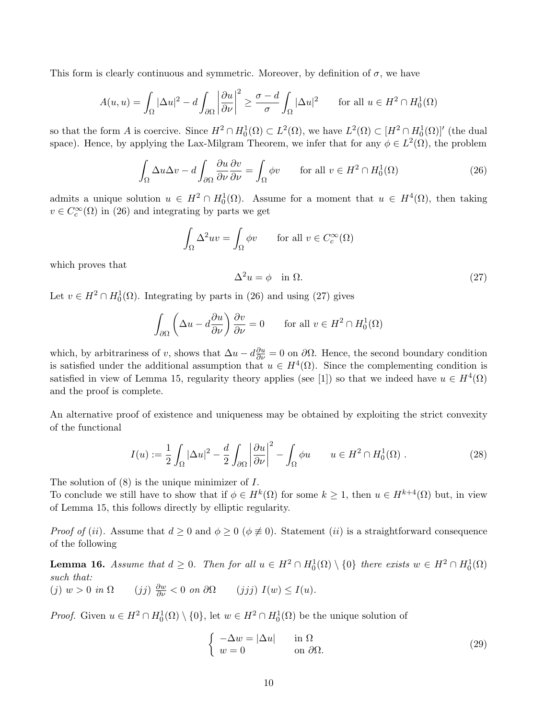This form is clearly continuous and symmetric. Moreover, by definition of  $\sigma$ , we have

$$
A(u, u) = \int_{\Omega} |\Delta u|^2 - d \int_{\partial \Omega} \left| \frac{\partial u}{\partial \nu} \right|^2 \ge \frac{\sigma - d}{\sigma} \int_{\Omega} |\Delta u|^2 \quad \text{for all } u \in H^2 \cap H_0^1(\Omega)
$$

so that the form A is coercive. Since  $H^2 \cap H_0^1(\Omega) \subset L^2(\Omega)$ , we have  $L^2(\Omega) \subset [H^2 \cap H_0^1(\Omega)]'$  (the dual space). Hence, by applying the Lax-Milgram Theorem, we infer that for any  $\phi \in L^2(\Omega)$ , the problem

$$
\int_{\Omega} \Delta u \Delta v - d \int_{\partial \Omega} \frac{\partial u}{\partial \nu} \frac{\partial v}{\partial \nu} = \int_{\Omega} \phi v \qquad \text{for all } v \in H^2 \cap H_0^1(\Omega)
$$
 (26)

admits a unique solution  $u \in H^2 \cap H_0^1(\Omega)$ . Assume for a moment that  $u \in H^4(\Omega)$ , then taking  $v \in C_c^{\infty}(\Omega)$  in (26) and integrating by parts we get

$$
\int_{\Omega} \Delta^2 uv = \int_{\Omega} \phi v \quad \text{for all } v \in C_c^{\infty}(\Omega)
$$

which proves that

$$
\Delta^2 u = \phi \quad \text{in } \Omega. \tag{27}
$$

Let  $v \in H^2 \cap H_0^1(\Omega)$ . Integrating by parts in (26) and using (27) gives

$$
\int_{\partial\Omega} \left( \Delta u - d\frac{\partial u}{\partial \nu} \right) \frac{\partial v}{\partial \nu} = 0 \quad \text{for all } v \in H^2 \cap H_0^1(\Omega)
$$

which, by arbitrariness of v, shows that  $\Delta u - d\frac{\partial u}{\partial \nu} = 0$  on  $\partial \Omega$ . Hence, the second boundary condition is satisfied under the additional assumption that  $u \in H^4(\Omega)$ . Since the complementing condition is satisfied in view of Lemma 15, regularity theory applies (see [1]) so that we indeed have  $u \in H^4(\Omega)$ and the proof is complete.

An alternative proof of existence and uniqueness may be obtained by exploiting the strict convexity of the functional

$$
I(u) := \frac{1}{2} \int_{\Omega} |\Delta u|^2 - \frac{d}{2} \int_{\partial \Omega} \left| \frac{\partial u}{\partial \nu} \right|^2 - \int_{\Omega} \phi u \qquad u \in H^2 \cap H_0^1(\Omega) . \tag{28}
$$

The solution of  $(8)$  is the unique minimizer of  $I$ .

To conclude we still have to show that if  $\phi \in H^k(\Omega)$  for some  $k \geq 1$ , then  $u \in H^{k+4}(\Omega)$  but, in view of Lemma 15, this follows directly by elliptic regularity.

*Proof of (ii).* Assume that  $d \geq 0$  and  $\phi \geq 0$  ( $\phi \neq 0$ ). Statement *(ii)* is a straightforward consequence of the following

**Lemma 16.** Assume that  $d \geq 0$ . Then for all  $u \in H^2 \cap H_0^1(\Omega) \setminus \{0\}$  there exists  $w \in H^2 \cap H_0^1(\Omega)$ such that: (j)  $w > 0$  in  $\Omega$  $\frac{\partial w}{\partial \nu} < 0$  on  $\partial \Omega$  (jjj)  $I(w) \leq I(u)$ .

*Proof.* Given  $u \in H^2 \cap H_0^1(\Omega) \setminus \{0\}$ , let  $w \in H^2 \cap H_0^1(\Omega)$  be the unique solution of

$$
\begin{cases}\n-\Delta w = |\Delta u| & \text{in } \Omega \\
w = 0 & \text{on } \partial \Omega.\n\end{cases}
$$
\n(29)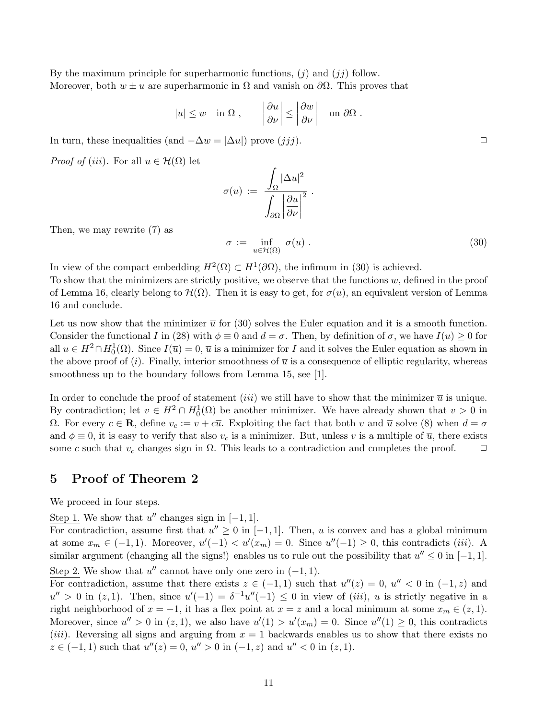By the maximum principle for superharmonic functions,  $(j)$  and  $(jj)$  follow. Moreover, both  $w \pm u$  are superharmonic in  $\Omega$  and vanish on  $\partial \Omega$ . This proves that

$$
|u| \leq w
$$
 in  $\Omega$ ,  $\left|\frac{\partial u}{\partial \nu}\right| \leq \left|\frac{\partial w}{\partial \nu}\right|$  on  $\partial \Omega$ .

In turn, these inequalities (and  $-\Delta w = |\Delta u|$ ) prove  $(jjj)$ .

*Proof of (iii)*. For all  $u \in \mathcal{H}(\Omega)$  let

$$
\sigma(u) := \frac{\int_{\Omega} |\Delta u|^2}{\int_{\partial \Omega} \left| \frac{\partial u}{\partial \nu} \right|^2}.
$$

Then, we may rewrite (7) as

$$
\sigma := \inf_{u \in \mathcal{H}(\Omega)} \sigma(u) . \tag{30}
$$

In view of the compact embedding  $H^2(\Omega) \subset H^1(\partial\Omega)$ , the infimum in (30) is achieved.

To show that the minimizers are strictly positive, we observe that the functions  $w$ , defined in the proof of Lemma 16, clearly belong to  $\mathcal{H}(\Omega)$ . Then it is easy to get, for  $\sigma(u)$ , an equivalent version of Lemma 16 and conclude.

Let us now show that the minimizer  $\bar{u}$  for (30) solves the Euler equation and it is a smooth function. Consider the functional I in (28) with  $\phi \equiv 0$  and  $d = \sigma$ . Then, by definition of  $\sigma$ , we have  $I(u) \ge 0$  for all  $u \in H^2 \cap H_0^1(\Omega)$ . Since  $I(\overline{u}) = 0$ ,  $\overline{u}$  is a minimizer for I and it solves the Euler equation as shown in the above proof of (i). Finally, interior smoothness of  $\bar{u}$  is a consequence of elliptic regularity, whereas smoothness up to the boundary follows from Lemma 15, see [1].

In order to conclude the proof of statement *(iii)* we still have to show that the minimizer  $\bar{u}$  is unique. By contradiction; let  $v \in H^2 \cap H_0^1(\Omega)$  be another minimizer. We have already shown that  $v > 0$  in Ω. For every  $c \in \mathbf{R}$ , define  $v_c := v + c\overline{u}$ . Exploiting the fact that both v and  $\overline{u}$  solve (8) when  $d = σ$ and  $\phi \equiv 0$ , it is easy to verify that also  $v_c$  is a minimizer. But, unless v is a multiple of  $\overline{u}$ , there exists some c such that  $v_c$  changes sign in  $\Omega$ . This leads to a contradiction and completes the proof.  $\Box$ 

### 5 Proof of Theorem 2

We proceed in four steps.

Step 1. We show that  $u''$  changes sign in  $[-1, 1]$ .

For contradiction, assume first that  $u'' \geq 0$  in [-1, 1]. Then, u is convex and has a global minimum at some  $x_m \in (-1,1)$ . Moreover,  $u'(-1) < u'(x_m) = 0$ . Since  $u''(-1) \ge 0$ , this contradicts *(iii)*. A similar argument (changing all the signs!) enables us to rule out the possibility that  $u'' \leq 0$  in [-1, 1]. Step 2. We show that  $u''$  cannot have only one zero in  $(-1, 1)$ .

For contradiction, assume that there exists  $z \in (-1,1)$  such that  $u''(z) = 0$ ,  $u'' < 0$  in  $(-1, z)$  and  $u'' > 0$  in  $(z, 1)$ . Then, since  $u'(-1) = \delta^{-1}u''(-1) \leq 0$  in view of *(iii)*, u is strictly negative in a right neighborhood of  $x = -1$ , it has a flex point at  $x = z$  and a local minimum at some  $x_m \in (z, 1)$ . Moreover, since  $u'' > 0$  in  $(z, 1)$ , we also have  $u'(1) > u'(x_m) = 0$ . Since  $u''(1) \ge 0$ , this contradicts (*iii*). Reversing all signs and arguing from  $x = 1$  backwards enables us to show that there exists no  $z \in (-1,1)$  such that  $u''(z) = 0$ ,  $u'' > 0$  in  $(-1, z)$  and  $u'' < 0$  in  $(z, 1)$ .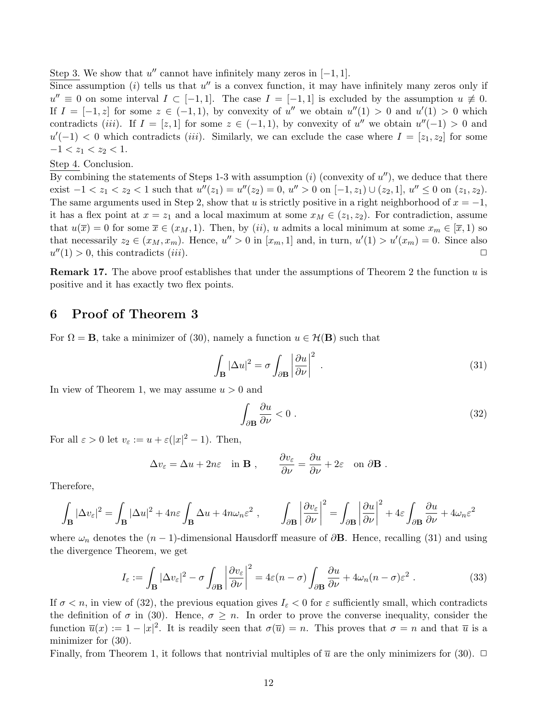Step 3. We show that  $u''$  cannot have infinitely many zeros in  $[-1, 1]$ .

 $\overline{\text{Since}}$  assumption (*i*) tells us that u'' is a convex function, it may have infinitely many zeros only if  $u'' \equiv 0$  on some interval  $I \subset [-1,1]$ . The case  $I = [-1,1]$  is excluded by the assumption  $u \not\equiv 0$ . If  $I = [-1, z]$  for some  $z \in (-1, 1)$ , by convexity of u'' we obtain  $u''(1) > 0$  and  $u'(1) > 0$  which contradicts (iii). If  $I = [z, 1]$  for some  $z \in (-1, 1)$ , by convexity of u'' we obtain  $u''(-1) > 0$  and  $u'(-1) < 0$  which contradicts *(iii)*. Similarly, we can exclude the case where  $I = [z_1, z_2]$  for some  $-1 < z_1 < z_2 < 1.$ 

Step 4. Conclusion.

 $\overline{\mathrm{By}}$  combining the statements of Steps 1-3 with assumption (i) (convexity of u''), we deduce that there exist  $-1 < z_1 < z_2 < 1$  such that  $u''(z_1) = u''(z_2) = 0$ ,  $u'' > 0$  on  $[-1, z_1) \cup (z_2, 1]$ ,  $u'' \le 0$  on  $(z_1, z_2)$ . The same arguments used in Step 2, show that u is strictly positive in a right neighborhood of  $x = -1$ , it has a flex point at  $x = z_1$  and a local maximum at some  $x_M \in (z_1, z_2)$ . For contradiction, assume that  $u(\overline{x}) = 0$  for some  $\overline{x} \in (x_M, 1)$ . Then, by  $(ii)$ , u admits a local minimum at some  $x_m \in [\overline{x}, 1)$  so that necessarily  $z_2 \in (x_M, x_m)$ . Hence,  $u'' > 0$  in  $[x_m, 1]$  and, in turn,  $u'(1) > u'(x_m) = 0$ . Since also  $u''(1) > 0$ , this contradicts *(iii)*.

**Remark 17.** The above proof establishes that under the assumptions of Theorem 2 the function  $u$  is positive and it has exactly two flex points.

### 6 Proof of Theorem 3

For  $\Omega = \mathbf{B}$ , take a minimizer of (30), namely a function  $u \in \mathcal{H}(\mathbf{B})$  such that

$$
\int_{\mathbf{B}} |\Delta u|^2 = \sigma \int_{\partial \mathbf{B}} \left| \frac{\partial u}{\partial \nu} \right|^2 \tag{31}
$$

In view of Theorem 1, we may assume  $u > 0$  and

$$
\int_{\partial \mathbf{B}} \frac{\partial u}{\partial \nu} < 0 \tag{32}
$$

For all  $\varepsilon > 0$  let  $v_{\varepsilon} := u + \varepsilon(|x|^2 - 1)$ . Then,

$$
\Delta v_{\varepsilon} = \Delta u + 2n\varepsilon \quad \text{in } \mathbf{B} \;, \qquad \frac{\partial v_{\varepsilon}}{\partial \nu} = \frac{\partial u}{\partial \nu} + 2\varepsilon \quad \text{on } \partial \mathbf{B} \; .
$$

Therefore,

$$
\int_{\mathbf{B}}|\Delta v_{\varepsilon}|^{2}=\int_{\mathbf{B}}|\Delta u|^{2}+4n\varepsilon\int_{\mathbf{B}}\Delta u+4n\omega_{n}\varepsilon^{2}\;,\qquad \int_{\partial\mathbf{B}}\left|\frac{\partial v_{\varepsilon}}{\partial\nu}\right|^{2}=\int_{\partial\mathbf{B}}\left|\frac{\partial u}{\partial\nu}\right|^{2}+4\varepsilon\int_{\partial\mathbf{B}}\frac{\partial u}{\partial\nu}+4\omega_{n}\varepsilon^{2}
$$

where  $\omega_n$  denotes the  $(n-1)$ -dimensional Hausdorff measure of  $\partial$ **B**. Hence, recalling (31) and using the divergence Theorem, we get

$$
I_{\varepsilon} := \int_{\mathbf{B}} |\Delta v_{\varepsilon}|^2 - \sigma \int_{\partial \mathbf{B}} \left| \frac{\partial v_{\varepsilon}}{\partial \nu} \right|^2 = 4\varepsilon (n - \sigma) \int_{\partial \mathbf{B}} \frac{\partial u}{\partial \nu} + 4\omega_n (n - \sigma) \varepsilon^2.
$$
 (33)

If  $\sigma < n$ , in view of (32), the previous equation gives  $I_{\varepsilon} < 0$  for  $\varepsilon$  sufficiently small, which contradicts the definition of  $\sigma$  in (30). Hence,  $\sigma \geq n$ . In order to prove the converse inequality, consider the function  $\overline{u}(x) := 1 - |x|^2$ . It is readily seen that  $\sigma(\overline{u}) = n$ . This proves that  $\sigma = n$  and that  $\overline{u}$  is a minimizer for (30).

Finally, from Theorem 1, it follows that nontrivial multiples of  $\overline{u}$  are the only minimizers for (30).  $\Box$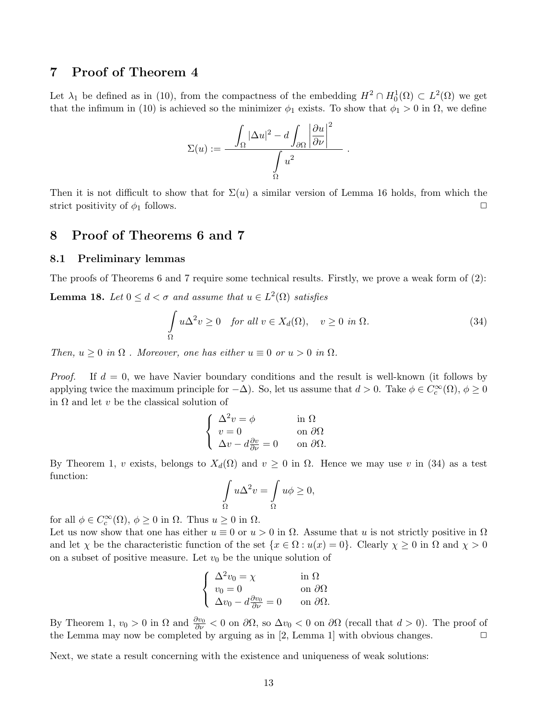## 7 Proof of Theorem 4

Let  $\lambda_1$  be defined as in (10), from the compactness of the embedding  $H^2 \cap H_0^1(\Omega) \subset L^2(\Omega)$  we get that the infimum in (10) is achieved so the minimizer  $\phi_1$  exists. To show that  $\phi_1 > 0$  in  $\Omega$ , we define

$$
\Sigma(u):=\frac{\displaystyle\int_{\Omega}|\Delta u|^{2}-d\int_{\partial\Omega}\left|\frac{\partial u}{\partial\nu}\right|^{2}}{\displaystyle\int_{\Omega}u^{2}}
$$

Then it is not difficult to show that for  $\Sigma(u)$  a similar version of Lemma 16 holds, from which the strict positivity of  $\phi_1$  follows.

### 8 Proof of Theorems 6 and 7

#### 8.1 Preliminary lemmas

The proofs of Theorems 6 and 7 require some technical results. Firstly, we prove a weak form of (2): **Lemma 18.** Let  $0 \leq d < \sigma$  and assume that  $u \in L^2(\Omega)$  satisfies

$$
\int_{\Omega} u \Delta^2 v \ge 0 \quad \text{for all } v \in X_d(\Omega), \quad v \ge 0 \text{ in } \Omega. \tag{34}
$$

.

Then,  $u \geq 0$  in  $\Omega$ . Moreover, one has either  $u \equiv 0$  or  $u > 0$  in  $\Omega$ .

*Proof.* If  $d = 0$ , we have Navier boundary conditions and the result is well-known (it follows by applying twice the maximum principle for  $-\Delta$ ). So, let us assume that  $d > 0$ . Take  $\phi \in C_c^{\infty}(\Omega)$ ,  $\phi \ge 0$ in  $\Omega$  and let v be the classical solution of

$$
\begin{cases}\n\Delta^2 v = \phi & \text{in } \Omega \\
v = 0 & \text{on } \partial\Omega \\
\Delta v - d\frac{\partial v}{\partial \nu} = 0 & \text{on } \partial\Omega.\n\end{cases}
$$

By Theorem 1, v exists, belongs to  $X_d(\Omega)$  and  $v \geq 0$  in  $\Omega$ . Hence we may use v in (34) as a test function:

$$
\int_{\Omega} u \Delta^2 v = \int_{\Omega} u \phi \ge 0,
$$

for all  $\phi \in C_c^{\infty}(\Omega)$ ,  $\phi \ge 0$  in  $\Omega$ . Thus  $u \ge 0$  in  $\Omega$ .

Let us now show that one has either  $u \equiv 0$  or  $u > 0$  in  $\Omega$ . Assume that u is not strictly positive in  $\Omega$ and let  $\chi$  be the characteristic function of the set  $\{x \in \Omega : u(x) = 0\}$ . Clearly  $\chi \ge 0$  in  $\Omega$  and  $\chi > 0$ on a subset of positive measure. Let  $v_0$  be the unique solution of

$$
\begin{cases} \Delta^2 v_0 = \chi & \text{in } \Omega\\ v_0 = 0 & \text{on } \partial\Omega\\ \Delta v_0 - d\frac{\partial v_0}{\partial \nu} = 0 & \text{on } \partial\Omega. \end{cases}
$$

By Theorem 1,  $v_0 > 0$  in  $\Omega$  and  $\frac{\partial v_0}{\partial \nu} < 0$  on  $\partial \Omega$ , so  $\Delta v_0 < 0$  on  $\partial \Omega$  (recall that  $d > 0$ ). The proof of the Lemma may now be completed by arguing as in [2, Lemma 1] with obvious changes.  $\Box$ 

Next, we state a result concerning with the existence and uniqueness of weak solutions: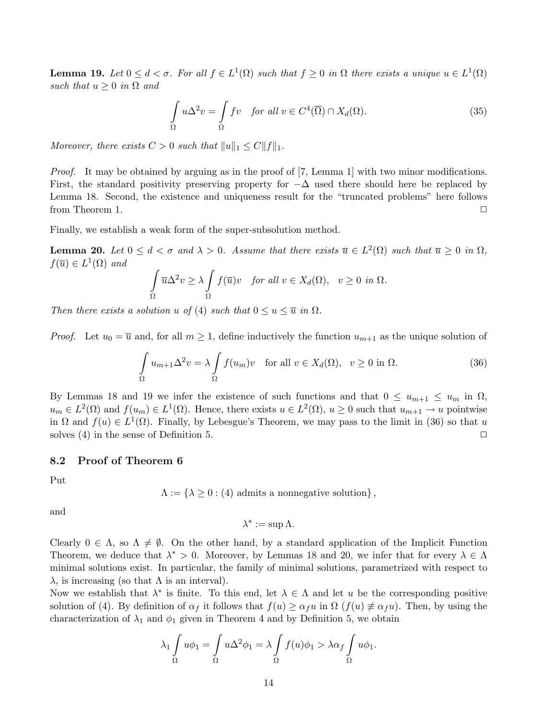**Lemma 19.** Let  $0 \leq d < \sigma$ . For all  $f \in L^1(\Omega)$  such that  $f \geq 0$  in  $\Omega$  there exists a unique  $u \in L^1(\Omega)$ such that  $u \geq 0$  in  $\Omega$  and

$$
\int_{\Omega} u \Delta^2 v = \int_{\Omega} f v \quad \text{for all } v \in C^4(\overline{\Omega}) \cap X_d(\Omega). \tag{35}
$$

Moreover, there exists  $C > 0$  such that  $||u||_1 \leq C||f||_1$ .

*Proof.* It may be obtained by arguing as in the proof of [7, Lemma 1] with two minor modifications. First, the standard positivity preserving property for  $-\Delta$  used there should here be replaced by Lemma 18. Second, the existence and uniqueness result for the "truncated problems" here follows from Theorem 1.  $\Box$ 

Finally, we establish a weak form of the super-subsolution method.

**Lemma 20.** Let  $0 \leq d < \sigma$  and  $\lambda > 0$ . Assume that there exists  $\overline{u} \in L^2(\Omega)$  such that  $\overline{u} \geq 0$  in  $\Omega$ ,  $f(\overline{u}) \in L^1(\Omega)$  and

$$
\int_{\Omega} \overline{u} \Delta^2 v \ge \lambda \int_{\Omega} f(\overline{u}) v \quad \text{for all } v \in X_d(\Omega), \quad v \ge 0 \text{ in } \Omega.
$$

Then there exists a solution u of (4) such that  $0 \le u \le \overline{u}$  in  $\Omega$ .

*Proof.* Let  $u_0 = \overline{u}$  and, for all  $m \geq 1$ , define inductively the function  $u_{m+1}$  as the unique solution of

$$
\int_{\Omega} u_{m+1} \Delta^2 v = \lambda \int_{\Omega} f(u_m) v \quad \text{for all } v \in X_d(\Omega), \quad v \ge 0 \text{ in } \Omega.
$$
 (36)

By Lemmas 18 and 19 we infer the existence of such functions and that  $0 \le u_{m+1} \le u_m$  in  $\Omega$ ,  $u_m \in L^2(\Omega)$  and  $f(u_m) \in L^1(\Omega)$ . Hence, there exists  $u \in L^2(\Omega)$ ,  $u \geq 0$  such that  $u_{m+1} \to u$  pointwise in  $\Omega$  and  $f(u) \in L^1(\Omega)$ . Finally, by Lebesgue's Theorem, we may pass to the limit in (36) so that u solves (4) in the sense of Definition 5.  $\Box$ 

#### 8.2 Proof of Theorem 6

Put

$$
\Lambda := \{ \lambda \geq 0 : (4) \text{ admits a nonnegative solution} \},
$$

and

$$
\lambda^* := \sup \Lambda.
$$

Clearly  $0 \in \Lambda$ , so  $\Lambda \neq \emptyset$ . On the other hand, by a standard application of the Implicit Function Theorem, we deduce that  $\lambda^* > 0$ . Moreover, by Lemmas 18 and 20, we infer that for every  $\lambda \in \Lambda$ minimal solutions exist. In particular, the family of minimal solutions, parametrized with respect to  $\lambda$ , is increasing (so that  $\Lambda$  is an interval).

Now we establish that  $\lambda^*$  is finite. To this end, let  $\lambda \in \Lambda$  and let u be the corresponding positive solution of (4). By definition of  $\alpha_f$  it follows that  $f(u) \geq \alpha_f u$  in  $\Omega$  ( $f(u) \neq \alpha_f u$ ). Then, by using the characterization of  $\lambda_1$  and  $\phi_1$  given in Theorem 4 and by Definition 5, we obtain

$$
\lambda_1 \int_{\Omega} u \phi_1 = \int_{\Omega} u \Delta^2 \phi_1 = \lambda \int_{\Omega} f(u) \phi_1 > \lambda \alpha_f \int_{\Omega} u \phi_1.
$$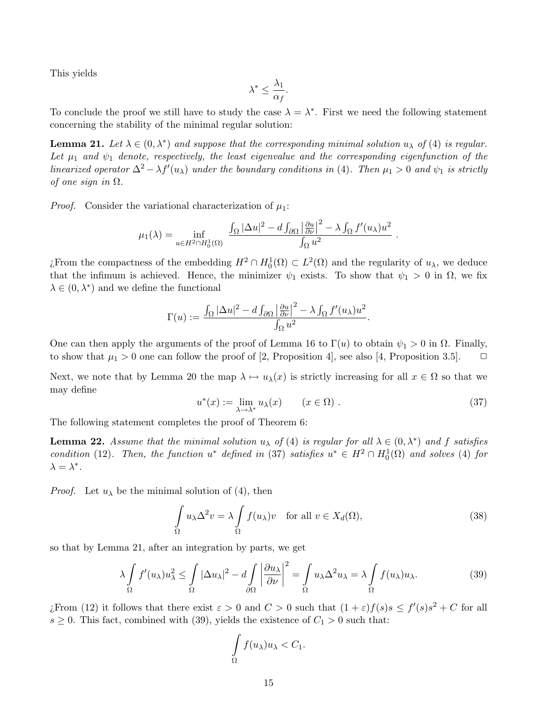This yields

$$
\lambda^* \leq \frac{\lambda_1}{\alpha_f}.
$$

To conclude the proof we still have to study the case  $\lambda = \lambda^*$ . First we need the following statement concerning the stability of the minimal regular solution:

**Lemma 21.** Let  $\lambda \in (0, \lambda^*)$  and suppose that the corresponding minimal solution  $u_{\lambda}$  of (4) is regular. Let  $\mu_1$  and  $\psi_1$  denote, respectively, the least eigenvalue and the corresponding eigenfunction of the linearized operator  $\Delta^2 - \lambda f'(u_\lambda)$  under the boundary conditions in (4). Then  $\mu_1 > 0$  and  $\psi_1$  is strictly of one sign in  $\Omega$ .

*Proof.* Consider the variational characterization of  $\mu_1$ :

$$
\mu_1(\lambda) = \inf_{u \in H^2 \cap H_0^1(\Omega)} \frac{\int_{\Omega} |\Delta u|^2 - d \int_{\partial \Omega} \left| \frac{\partial u}{\partial \nu} \right|^2 - \lambda \int_{\Omega} f'(u_\lambda) u^2}{\int_{\Omega} u^2}.
$$

¿From the compactness of the embedding  $H^2 \cap H_0^1(\Omega) \subset L^2(\Omega)$  and the regularity of  $u_\lambda$ , we deduce that the infimum is achieved. Hence, the minimizer  $\psi_1$  exists. To show that  $\psi_1 > 0$  in  $\Omega$ , we fix  $\lambda \in (0, \lambda^*)$  and we define the functional

$$
\Gamma(u) := \frac{\int_{\Omega} |\Delta u|^2 - d \int_{\partial \Omega} \left| \frac{\partial u}{\partial \nu} \right|^2 - \lambda \int_{\Omega} f'(u_{\lambda}) u^2}{\int_{\Omega} u^2}.
$$

One can then apply the arguments of the proof of Lemma 16 to  $\Gamma(u)$  to obtain  $\psi_1 > 0$  in  $\Omega$ . Finally, to show that  $\mu_1 > 0$  one can follow the proof of [2, Proposition 4], see also [4, Proposition 3.5].  $\Box$ 

Next, we note that by Lemma 20 the map  $\lambda \mapsto u_\lambda(x)$  is strictly increasing for all  $x \in \Omega$  so that we may define

$$
u^*(x) := \lim_{\lambda \to \lambda^*} u_\lambda(x) \qquad (x \in \Omega) . \tag{37}
$$

The following statement completes the proof of Theorem 6:

**Lemma 22.** Assume that the minimal solution  $u_{\lambda}$  of (4) is regular for all  $\lambda \in (0, \lambda^*)$  and f satisfies condition (12). Then, the function  $u^*$  defined in (37) satisfies  $u^* \in H^2 \cap H_0^1(\Omega)$  and solves (4) for  $\lambda = \lambda^*$ .

*Proof.* Let  $u_{\lambda}$  be the minimal solution of (4), then

$$
\int_{\Omega} u_{\lambda} \Delta^2 v = \lambda \int_{\Omega} f(u_{\lambda}) v \quad \text{for all } v \in X_d(\Omega), \tag{38}
$$

so that by Lemma 21, after an integration by parts, we get

$$
\lambda \int_{\Omega} f'(u_{\lambda}) u_{\lambda}^{2} \le \int_{\Omega} |\Delta u_{\lambda}|^{2} - d \int_{\partial \Omega} \left| \frac{\partial u_{\lambda}}{\partial \nu} \right|^{2} = \int_{\Omega} u_{\lambda} \Delta^{2} u_{\lambda} = \lambda \int_{\Omega} f(u_{\lambda}) u_{\lambda}.
$$
 (39)

*i*. From (12) it follows that there exist  $\varepsilon > 0$  and  $C > 0$  such that  $(1 + \varepsilon) f(s) s \leq f'(s) s^2 + C$  for all  $s \geq 0$ . This fact, combined with (39), yields the existence of  $C_1 > 0$  such that:

$$
\int\limits_{\Omega} f(u_{\lambda})u_{\lambda} < C_1.
$$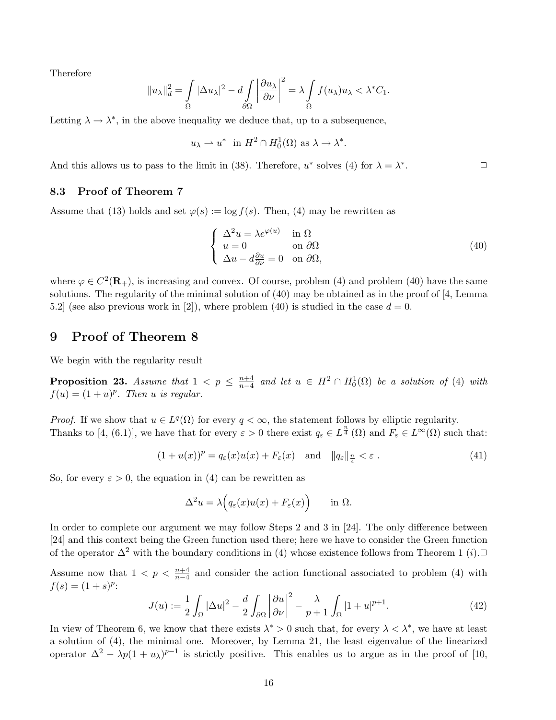Therefore

$$
||u_\lambda||_d^2 = \int_{\Omega} |\Delta u_\lambda|^2 - d \int_{\partial \Omega} \left| \frac{\partial u_\lambda}{\partial \nu} \right|^2 = \lambda \int_{\Omega} f(u_\lambda) u_\lambda < \lambda^* C_1.
$$

Letting  $\lambda \to \lambda^*$ , in the above inequality we deduce that, up to a subsequence,

$$
u_{\lambda} \to u^*
$$
 in  $H^2 \cap H_0^1(\Omega)$  as  $\lambda \to \lambda^*$ .

And this allows us to pass to the limit in (38). Therefore,  $u^*$  solves (4) for  $\lambda = \lambda^*$ .  $\Box$ 

#### 8.3 Proof of Theorem 7

Assume that (13) holds and set  $\varphi(s) := \log f(s)$ . Then, (4) may be rewritten as

$$
\begin{cases}\n\Delta^2 u = \lambda e^{\varphi(u)} & \text{in } \Omega \\
u = 0 & \text{on } \partial\Omega \\
\Delta u - d\frac{\partial u}{\partial \nu} = 0 & \text{on } \partial\Omega,\n\end{cases}
$$
\n(40)

where  $\varphi \in C^2(\mathbf{R}_+)$ , is increasing and convex. Of course, problem (4) and problem (40) have the same solutions. The regularity of the minimal solution of (40) may be obtained as in the proof of [4, Lemma 5.2] (see also previous work in [2]), where problem (40) is studied in the case  $d = 0$ .

# 9 Proof of Theorem 8

We begin with the regularity result

**Proposition 23.** Assume that  $1 < p \leq \frac{n+4}{n-4}$  $\frac{n+4}{n-4}$  and let  $u \in H^2 \cap H_0^1(\Omega)$  be a solution of (4) with  $f(u) = (1 + u)^p$ . Then u is regular.

*Proof.* If we show that  $u \in L^q(\Omega)$  for every  $q < \infty$ , the statement follows by elliptic regularity. Thanks to [4, (6.1)], we have that for every  $\varepsilon > 0$  there exist  $q_{\varepsilon} \in L^{\frac{n}{4}}(\Omega)$  and  $F_{\varepsilon} \in L^{\infty}(\Omega)$  such that:

$$
(1+u(x))^p = q_{\varepsilon}(x)u(x) + F_{\varepsilon}(x) \quad \text{and} \quad ||q_{\varepsilon}||_{\frac{n}{4}} < \varepsilon.
$$
 (41)

So, for every  $\varepsilon > 0$ , the equation in (4) can be rewritten as

$$
\Delta^2 u = \lambda \Big( q_\varepsilon(x) u(x) + F_\varepsilon(x) \Big) \quad \text{in } \Omega.
$$

In order to complete our argument we may follow Steps 2 and 3 in [24]. The only difference between [24] and this context being the Green function used there; here we have to consider the Green function of the operator  $\Delta^2$  with the boundary conditions in (4) whose existence follows from Theorem 1 (*i*).

Assume now that  $1 < p < \frac{n+4}{n-4}$  and consider the action functional associated to problem (4) with  $f(s) = (1 + s)^p$ :  $\overline{a}$  $\overline{a}$ 

$$
J(u) := \frac{1}{2} \int_{\Omega} |\Delta u|^2 - \frac{d}{2} \int_{\partial \Omega} \left| \frac{\partial u}{\partial \nu} \right|^2 - \frac{\lambda}{p+1} \int_{\Omega} |1+u|^{p+1}.
$$
 (42)

In view of Theorem 6, we know that there exists  $\lambda^* > 0$  such that, for every  $\lambda < \lambda^*$ , we have at least a solution of (4), the minimal one. Moreover, by Lemma 21, the least eigenvalue of the linearized operator  $\Delta^2 - \lambda p (1 + u_\lambda)^{p-1}$  is strictly positive. This enables us to argue as in the proof of [10,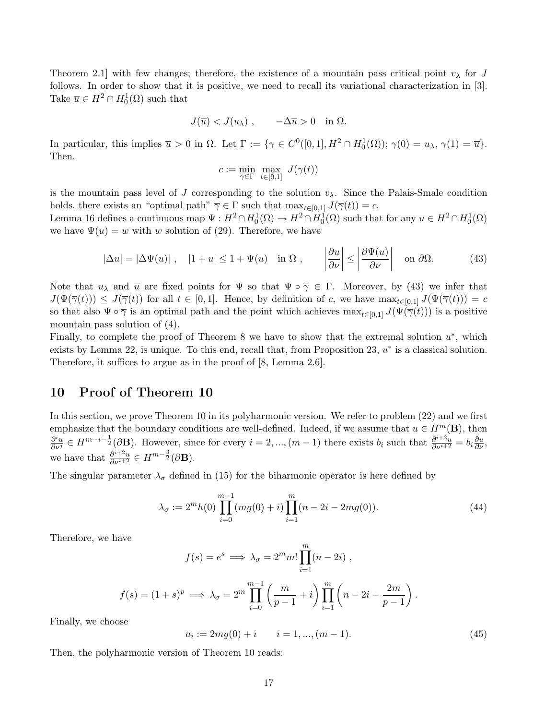Theorem 2.1 with few changes; therefore, the existence of a mountain pass critical point  $v_{\lambda}$  for J follows. In order to show that it is positive, we need to recall its variational characterization in [3]. Take  $\overline{u} \in H^2 \cap H_0^1(\Omega)$  such that

$$
J(\overline{u}) < J(u_\lambda) , \qquad -\Delta \overline{u} > 0 \quad \text{in} \ \Omega.
$$

In particular, this implies  $\overline{u} > 0$  in  $\Omega$ . Let  $\Gamma := \{ \gamma \in C^0([0,1], H^2 \cap H_0^1(\Omega)) ; \gamma(0) = u_\lambda, \gamma(1) = \overline{u} \}.$ Then,

$$
c:=\min_{\gamma\in\Gamma}\ \max_{t\in[0,1]}\ J(\gamma(t))
$$

is the mountain pass level of J corresponding to the solution  $v_\lambda$ . Since the Palais-Smale condition holds, there exists an "optimal path"  $\overline{\gamma} \in \Gamma$  such that  $\max_{t \in [0,1]} J(\overline{\gamma}(t)) = c$ . Lemma 16 defines a continuous map  $\Psi: H^2 \cap H_0^1(\Omega) \to H^2 \cap H_0^1(\Omega)$  such that for any  $u \in H^2 \cap H_0^1(\Omega)$ we have  $\Psi(u) = w$  with w solution of (29). Therefore, we have

$$
|\Delta u| = |\Delta \Psi(u)| \ , \quad |1+u| \le 1 + \Psi(u) \quad \text{in } \Omega \ , \qquad \left|\frac{\partial u}{\partial \nu}\right| \le \left|\frac{\partial \Psi(u)}{\partial \nu}\right| \quad \text{on } \partial \Omega. \tag{43}
$$

Note that  $u_\lambda$  and  $\overline{u}$  are fixed points for  $\Psi$  so that  $\Psi \circ \overline{\gamma} \in \Gamma$ . Moreover, by (43) we infer that  $J(\Psi(\overline{\gamma}(t))) \leq J(\overline{\gamma}(t))$  for all  $t \in [0,1]$ . Hence, by definition of c, we have  $\max_{t \in [0,1]} J(\Psi(\overline{\gamma}(t))) = c$ so that also  $\Psi \circ \overline{\gamma}$  is an optimal path and the point which achieves  $\max_{t\in[0,1]} J(\Psi(\overline{\gamma}(t)))$  is a positive mountain pass solution of (4).

Finally, to complete the proof of Theorem 8 we have to show that the extremal solution  $u^*$ , which exists by Lemma 22, is unique. To this end, recall that, from Proposition 23,  $u^*$  is a classical solution. Therefore, it suffices to argue as in the proof of [8, Lemma 2.6].

#### 10 Proof of Theorem 10

In this section, we prove Theorem 10 in its polyharmonic version. We refer to problem (22) and we first emphasize that the boundary conditions are well-defined. Indeed, if we assume that  $u \in H^m(\mathbf{B})$ , then  $\frac{\partial^i u}{\partial \nu^j} \in H^{m-i-\frac{1}{2}}(\partial \mathbf{B})$ . However, since for every  $i = 2, ..., (m-1)$  there exists  $b_i$  such that  $\frac{\partial^{i+2} u}{\partial \nu^{i+2}} = b_i \frac{\partial u}{\partial \nu}$ , we have that  $\frac{\partial^{i+2}u}{\partial \nu^{i+2}} \in H^{m-\frac{3}{2}}(\partial \mathbf{B}).$ 

The singular parameter  $\lambda_{\sigma}$  defined in (15) for the biharmonic operator is here defined by

$$
\lambda_{\sigma} := 2^{m} h(0) \prod_{i=0}^{m-1} (mg(0) + i) \prod_{i=1}^{m} (n - 2i - 2mg(0)). \tag{44}
$$

Therefore, we have

$$
f(s) = e^{s} \implies \lambda_{\sigma} = 2^{m} m! \prod_{i=1}^{m} (n - 2i) ,
$$
  

$$
f(s) = (1 + s)^{p} \implies \lambda_{\sigma} = 2^{m} \prod_{i=0}^{m-1} \left( \frac{m}{p - 1} + i \right) \prod_{i=1}^{m} \left( n - 2i - \frac{2m}{p - 1} \right).
$$

Finally, we choose

$$
a_i := 2mg(0) + i \qquad i = 1, ..., (m-1). \tag{45}
$$

Then, the polyharmonic version of Theorem 10 reads: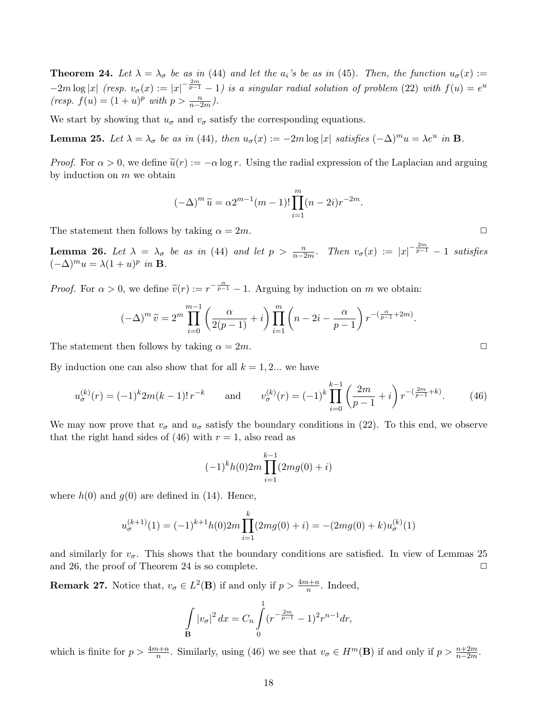**Theorem 24.** Let  $\lambda = \lambda_{\sigma}$  be as in (44) and let the  $a_i$ 's be as in (45). Then, the function  $u_{\sigma}(x) :=$  $-2m \log |x|$  (resp.  $v_{\sigma}(x) := |x|^{-\frac{2m}{p-1}} - 1$ ) is a singular radial solution of problem (22) with  $f(u) = e^u$  $(resp. f(u) = (1 + u)^p \text{ with } p > \frac{n}{n-2m}.$ 

We start by showing that  $u_{\sigma}$  and  $v_{\sigma}$  satisfy the corresponding equations.

**Lemma 25.** Let  $\lambda = \lambda_{\sigma}$  be as in (44), then  $u_{\sigma}(x) := -2m \log |x|$  satisfies  $(-\Delta)^m u = \lambda e^u$  in **B**.

*Proof.* For  $\alpha > 0$ , we define  $\tilde{u}(r) := -\alpha \log r$ . Using the radial expression of the Laplacian and arguing by induction on  $m$  we obtain

$$
(-\Delta)^m \tilde{u} = \alpha 2^{m-1} (m-1)! \prod_{i=1}^m (n-2i) r^{-2m}.
$$

The statement then follows by taking  $\alpha = 2m$ .

**Lemma 26.** Let  $\lambda = \lambda_{\sigma}$  be as in (44) and let  $p > \frac{n}{n-2m}$ . Then  $v_{\sigma}(x) := |x|^{-\frac{2m}{p-1}} - 1$  satisfies  $(-\Delta)^m u = \lambda (1+u)^p$  in **B**.

*Proof.* For  $\alpha > 0$ , we define  $\tilde{v}(r) := r^{-\frac{\alpha}{p-1}} - 1$ . Arguing by induction on m we obtain:

$$
(-\Delta)^m \widetilde{v} = 2^m \prod_{i=0}^{m-1} \left( \frac{\alpha}{2(p-1)} + i \right) \prod_{i=1}^m \left( n - 2i - \frac{\alpha}{p-1} \right) r^{-\left(\frac{\alpha}{p-1} + 2m\right)}.
$$

The statement then follows by taking  $\alpha = 2m$ .

By induction one can also show that for all  $k = 1, 2...$  we have

$$
u_{\sigma}^{(k)}(r) = (-1)^{k} 2m(k-1)! \, r^{-k} \qquad \text{and} \qquad v_{\sigma}^{(k)}(r) = (-1)^{k} \prod_{i=0}^{k-1} \left( \frac{2m}{p-1} + i \right) r^{-\left(\frac{2m}{p-1} + k\right)}.\tag{46}
$$

We may now prove that  $v_{\sigma}$  and  $u_{\sigma}$  satisfy the boundary conditions in (22). To this end, we observe that the right hand sides of (46) with  $r = 1$ , also read as

$$
(-1)^{k}h(0)2m\prod_{i=1}^{k-1}(2mg(0)+i)
$$

where  $h(0)$  and  $q(0)$  are defined in (14). Hence,

$$
u_{\sigma}^{(k+1)}(1) = (-1)^{k+1} h(0) 2m \prod_{i=1}^{k} (2mg(0) + i) = -(2mg(0) + k)u_{\sigma}^{(k)}(1)
$$

and similarly for  $v_{\sigma}$ . This shows that the boundary conditions are satisfied. In view of Lemmas 25 and 26, the proof of Theorem 24 is so complete.  $\Box$ 

**Remark 27.** Notice that,  $v_{\sigma} \in L^2(\mathbf{B})$  if and only if  $p > \frac{4m+n}{n}$ . Indeed,

$$
\int_{\mathbf{B}} |v_{\sigma}|^2 dx = C_n \int_{0}^{1} (r^{-\frac{2m}{p-1}} - 1)^2 r^{n-1} dr,
$$

which is finite for  $p > \frac{4m+n}{n}$ . Similarly, using (46) we see that  $v_{\sigma} \in H^m(\mathbf{B})$  if and only if  $p > \frac{n+2m}{n-2m}$ .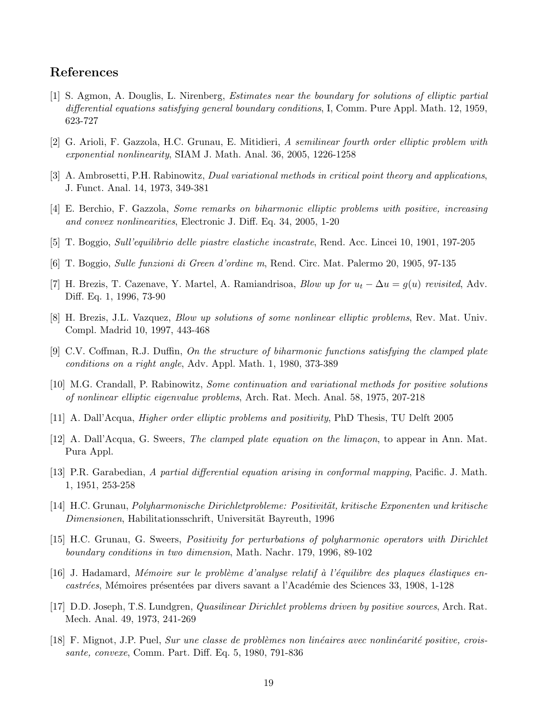### References

- [1] S. Agmon, A. Douglis, L. Nirenberg, Estimates near the boundary for solutions of elliptic partial differential equations satisfying general boundary conditions, I, Comm. Pure Appl. Math. 12, 1959, 623-727
- [2] G. Arioli, F. Gazzola, H.C. Grunau, E. Mitidieri, A semilinear fourth order elliptic problem with exponential nonlinearity, SIAM J. Math. Anal. 36, 2005, 1226-1258
- [3] A. Ambrosetti, P.H. Rabinowitz, Dual variational methods in critical point theory and applications, J. Funct. Anal. 14, 1973, 349-381
- [4] E. Berchio, F. Gazzola, Some remarks on biharmonic elliptic problems with positive, increasing and convex nonlinearities, Electronic J. Diff. Eq. 34, 2005, 1-20
- [5] T. Boggio, Sull'equilibrio delle piastre elastiche incastrate, Rend. Acc. Lincei 10, 1901, 197-205
- [6] T. Boggio, Sulle funzioni di Green d'ordine m, Rend. Circ. Mat. Palermo 20, 1905, 97-135
- [7] H. Brezis, T. Cazenave, Y. Martel, A. Ramiandrisoa, Blow up for  $u_t \Delta u = g(u)$  revisited, Adv. Diff. Eq. 1, 1996, 73-90
- [8] H. Brezis, J.L. Vazquez, Blow up solutions of some nonlinear elliptic problems, Rev. Mat. Univ. Compl. Madrid 10, 1997, 443-468
- [9] C.V. Coffman, R.J. Duffin, On the structure of biharmonic functions satisfying the clamped plate conditions on a right angle, Adv. Appl. Math. 1, 1980, 373-389
- [10] M.G. Crandall, P. Rabinowitz, Some continuation and variational methods for positive solutions of nonlinear elliptic eigenvalue problems, Arch. Rat. Mech. Anal. 58, 1975, 207-218
- [11] A. Dall'Acqua, Higher order elliptic problems and positivity, PhD Thesis, TU Delft 2005
- [12] A. Dall'Acqua, G. Sweers, The clamped plate equation on the limaçon, to appear in Ann. Mat. Pura Appl.
- [13] P.R. Garabedian, A partial differential equation arising in conformal mapping, Pacific. J. Math. 1, 1951, 253-258
- [14] H.C. Grunau, *Polyharmonische Dirichletprobleme: Positivität, kritische Exponenten und kritische* Dimensionen, Habilitationsschrift, Universität Bayreuth, 1996
- [15] H.C. Grunau, G. Sweers, Positivity for perturbations of polyharmonic operators with Dirichlet boundary conditions in two dimension, Math. Nachr. 179, 1996, 89-102
- $[16]$  J. Hadamard, Mémoire sur le problème d'analyse relatif à l'équilibre des plaques élastiques encastrées, Mémoires présentées par divers savant a l'Académie des Sciences 33, 1908, 1-128
- [17] D.D. Joseph, T.S. Lundgren, Quasilinear Dirichlet problems driven by positive sources, Arch. Rat. Mech. Anal. 49, 1973, 241-269
- $[18]$  F. Mignot, J.P. Puel, Sur une classe de problèmes non linéaires avec nonlinéarité positive, croissante, convexe, Comm. Part. Diff. Eq. 5, 1980, 791-836